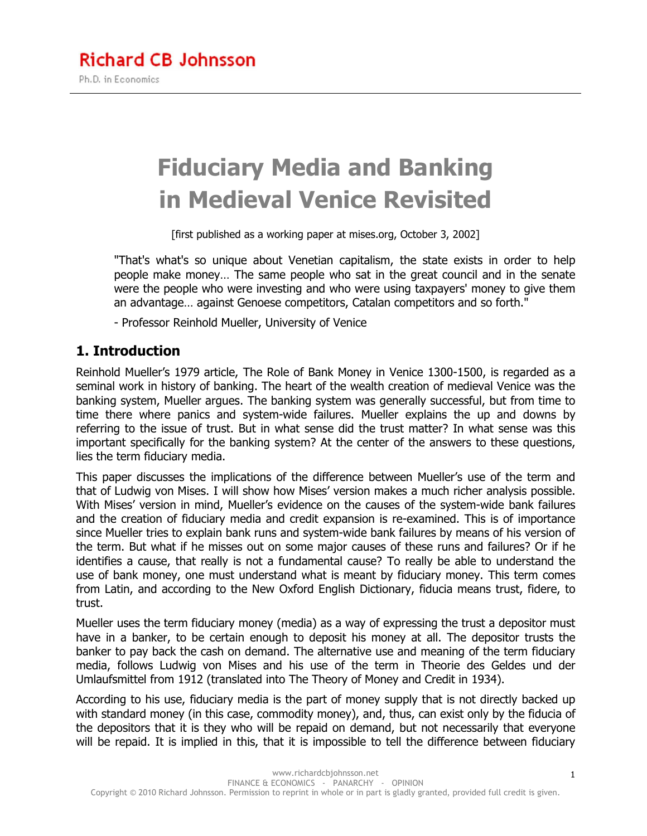# **Fiduciary Media and Banking in Medieval Venice Revisited**

[first published as a working paper at mises.org, October 3, 2002]

"That's what's so unique about Venetian capitalism, the state exists in order to help people make money… The same people who sat in the great council and in the senate were the people who were investing and who were using taxpayers' money to give them an advantage… against Genoese competitors, Catalan competitors and so forth."

- Professor Reinhold Mueller, University of Venice

#### **1. Introduction**

Reinhold Mueller's 1979 article, The Role of Bank Money in Venice 1300-1500, is regarded as a seminal work in history of banking. The heart of the wealth creation of medieval Venice was the banking system, Mueller argues. The banking system was generally successful, but from time to time there where panics and system-wide failures. Mueller explains the up and downs by referring to the issue of trust. But in what sense did the trust matter? In what sense was this important specifically for the banking system? At the center of the answers to these questions, lies the term fiduciary media.

This paper discusses the implications of the difference between Mueller's use of the term and that of Ludwig von Mises. I will show how Mises' version makes a much richer analysis possible. With Mises' version in mind, Mueller's evidence on the causes of the system-wide bank failures and the creation of fiduciary media and credit expansion is re-examined. This is of importance since Mueller tries to explain bank runs and system-wide bank failures by means of his version of the term. But what if he misses out on some major causes of these runs and failures? Or if he identifies a cause, that really is not a fundamental cause? To really be able to understand the use of bank money, one must understand what is meant by fiduciary money. This term comes from Latin, and according to the New Oxford English Dictionary, fiducia means trust, fidere, to trust.

Mueller uses the term fiduciary money (media) as a way of expressing the trust a depositor must have in a banker, to be certain enough to deposit his money at all. The depositor trusts the banker to pay back the cash on demand. The alternative use and meaning of the term fiduciary media, follows Ludwig von Mises and his use of the term in Theorie des Geldes und der Umlaufsmittel from 1912 (translated into The Theory of Money and Credit in 1934).

According to his use, fiduciary media is the part of money supply that is not directly backed up with standard money (in this case, commodity money), and, thus, can exist only by the fiducia of the depositors that it is they who will be repaid on demand, but not necessarily that everyone will be repaid. It is implied in this, that it is impossible to tell the difference between fiduciary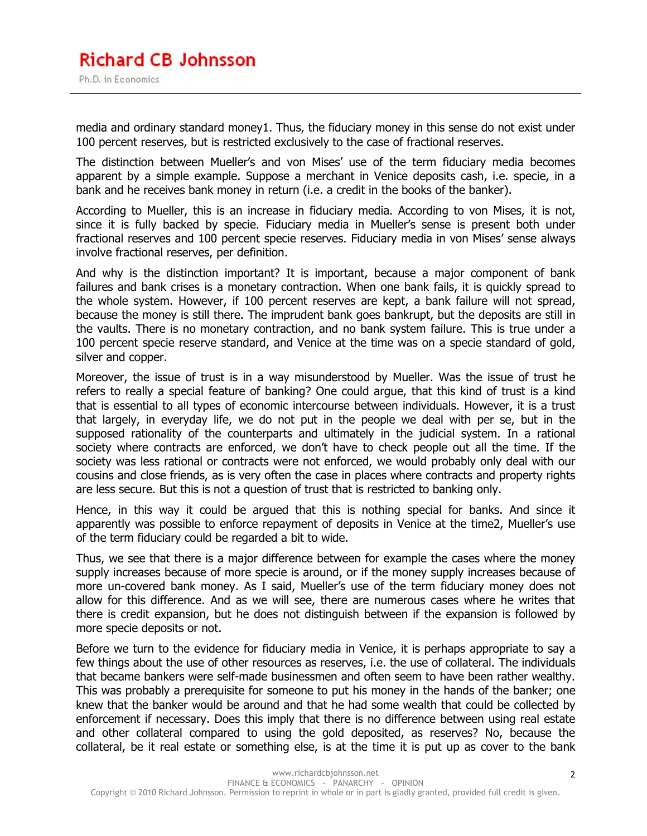media and ordinary standard money1. Thus, the fiduciary money in this sense do not exist under 100 percent reserves, but is restricted exclusively to the case of fractional reserves.

The distinction between Mueller's and von Mises' use of the term fiduciary media becomes apparent by a simple example. Suppose a merchant in Venice deposits cash, i.e. specie, in a bank and he receives bank money in return (i.e. a credit in the books of the banker).

According to Mueller, this is an increase in fiduciary media. According to von Mises, it is not, since it is fully backed by specie. Fiduciary media in Mueller's sense is present both under fractional reserves and 100 percent specie reserves. Fiduciary media in von Mises' sense always involve fractional reserves, per definition.

And why is the distinction important? It is important, because a major component of bank failures and bank crises is a monetary contraction. When one bank fails, it is quickly spread to the whole system. However, if 100 percent reserves are kept, a bank failure will not spread, because the money is still there. The imprudent bank goes bankrupt, but the deposits are still in the vaults. There is no monetary contraction, and no bank system failure. This is true under a 100 percent specie reserve standard, and Venice at the time was on a specie standard of gold, silver and copper.

Moreover, the issue of trust is in a way misunderstood by Mueller. Was the issue of trust he refers to really a special feature of banking? One could argue, that this kind of trust is a kind that is essential to all types of economic intercourse between individuals. However, it is a trust that largely, in everyday life, we do not put in the people we deal with per se, but in the supposed rationality of the counterparts and ultimately in the judicial system. In a rational society where contracts are enforced, we don't have to check people out all the time. If the society was less rational or contracts were not enforced, we would probably only deal with our cousins and close friends, as is very often the case in places where contracts and property rights are less secure. But this is not a question of trust that is restricted to banking only.

Hence, in this way it could be argued that this is nothing special for banks. And since it apparently was possible to enforce repayment of deposits in Venice at the time2, Mueller's use of the term fiduciary could be regarded a bit to wide.

Thus, we see that there is a major difference between for example the cases where the money supply increases because of more specie is around, or if the money supply increases because of more un-covered bank money. As I said, Mueller's use of the term fiduciary money does not allow for this difference. And as we will see, there are numerous cases where he writes that there is credit expansion, but he does not distinguish between if the expansion is followed by more specie deposits or not.

Before we turn to the evidence for fiduciary media in Venice, it is perhaps appropriate to say a few things about the use of other resources as reserves, i.e. the use of collateral. The individuals that became bankers were self-made businessmen and often seem to have been rather wealthy. This was probably a prerequisite for someone to put his money in the hands of the banker; one knew that the banker would be around and that he had some wealth that could be collected by enforcement if necessary. Does this imply that there is no difference between using real estate and other collateral compared to using the gold deposited, as reserves? No, because the collateral, be it real estate or something else, is at the time it is put up as cover to the bank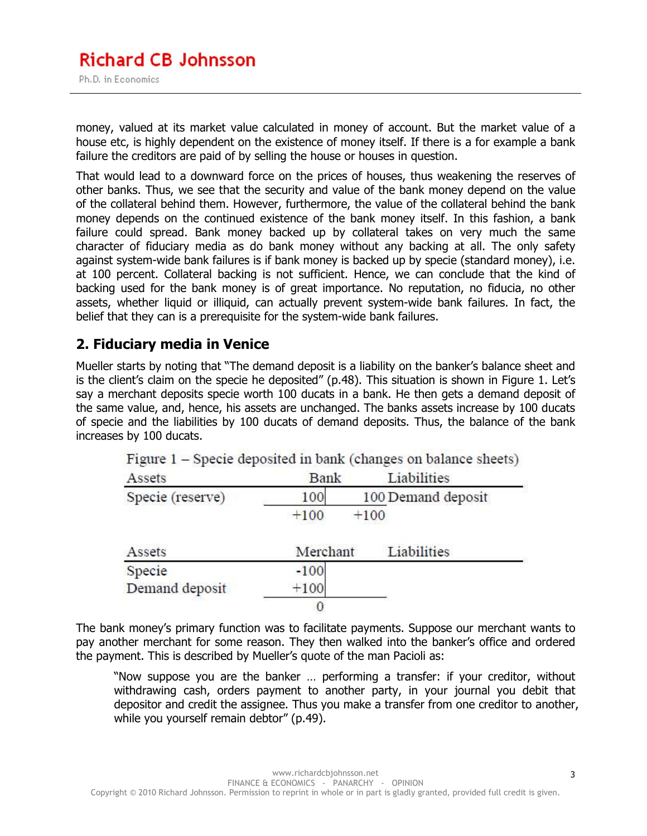money, valued at its market value calculated in money of account. But the market value of a house etc, is highly dependent on the existence of money itself. If there is a for example a bank failure the creditors are paid of by selling the house or houses in question.

That would lead to a downward force on the prices of houses, thus weakening the reserves of other banks. Thus, we see that the security and value of the bank money depend on the value of the collateral behind them. However, furthermore, the value of the collateral behind the bank money depends on the continued existence of the bank money itself. In this fashion, a bank failure could spread. Bank money backed up by collateral takes on very much the same character of fiduciary media as do bank money without any backing at all. The only safety against system-wide bank failures is if bank money is backed up by specie (standard money), i.e. at 100 percent. Collateral backing is not sufficient. Hence, we can conclude that the kind of backing used for the bank money is of great importance. No reputation, no fiducia, no other assets, whether liquid or illiquid, can actually prevent system-wide bank failures. In fact, the belief that they can is a prerequisite for the system-wide bank failures.

#### **2. Fiduciary media in Venice**

Mueller starts by noting that "The demand deposit is a liability on the banker's balance sheet and is the client's claim on the specie he deposited" (p.48). This situation is shown in Figure 1. Let's say a merchant deposits specie worth 100 ducats in a bank. He then gets a demand deposit of the same value, and, hence, his assets are unchanged. The banks assets increase by 100 ducats of specie and the liabilities by 100 ducats of demand deposits. Thus, the balance of the bank increases by 100 ducats.

| Assets                   | Bank     | Liabilities        |  |
|--------------------------|----------|--------------------|--|
| Specie (reserve)         | 100      | 100 Demand deposit |  |
|                          | $+100$   | $+100$             |  |
| Assets                   | Merchant | Liabilities        |  |
|                          |          |                    |  |
|                          | $-100$   |                    |  |
| Specie<br>Demand deposit | $+100$   |                    |  |

The bank money's primary function was to facilitate payments. Suppose our merchant wants to pay another merchant for some reason. They then walked into the banker's office and ordered the payment. This is described by Mueller's quote of the man Pacioli as:

"Now suppose you are the banker … performing a transfer: if your creditor, without withdrawing cash, orders payment to another party, in your journal you debit that depositor and credit the assignee. Thus you make a transfer from one creditor to another, while you yourself remain debtor" (p.49).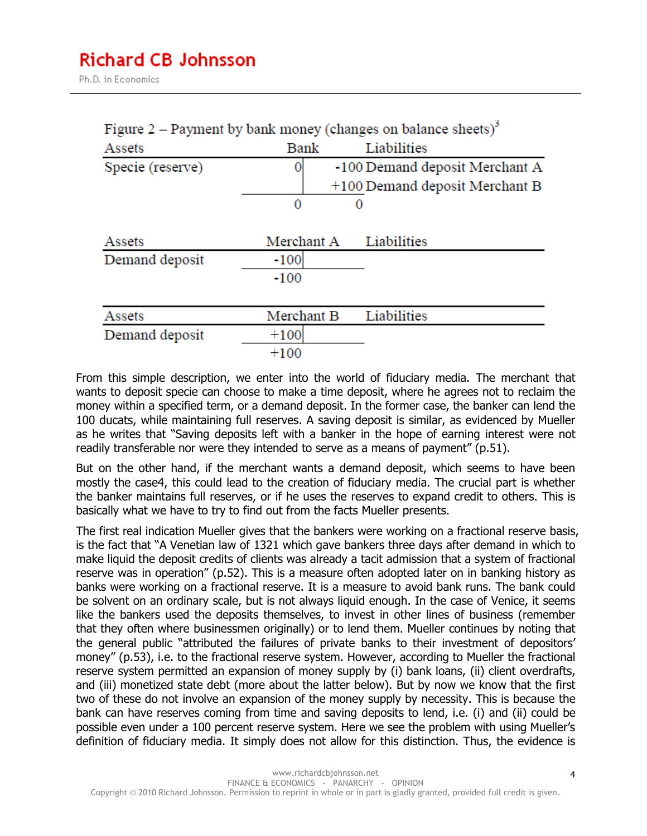Ph.D. in Economics

|                  |                  | Figure 2 – Payment by bank money (changes on balance sheets) <sup>2</sup> |
|------------------|------------------|---------------------------------------------------------------------------|
| Assets           | Bank             | Liabilities                                                               |
| Specie (reserve) | 0<br>0           | -100 Demand deposit Merchant A<br>+100 Demand deposit Merchant B          |
| Assets           | Merchant A       | Liabilities                                                               |
| Demand deposit   | $-100$<br>$-100$ |                                                                           |
| Assets           | Merchant B       | Liabilities                                                               |
| Demand deposit   | $+100$           |                                                                           |
|                  | $+100$           |                                                                           |

From this simple description, we enter into the world of fiduciary media. The merchant that wants to deposit specie can choose to make a time deposit, where he agrees not to reclaim the money within a specified term, or a demand deposit. In the former case, the banker can lend the 100 ducats, while maintaining full reserves. A saving deposit is similar, as evidenced by Mueller as he writes that "Saving deposits left with a banker in the hope of earning interest were not readily transferable nor were they intended to serve as a means of payment" (p.51).

But on the other hand, if the merchant wants a demand deposit, which seems to have been mostly the case4, this could lead to the creation of fiduciary media. The crucial part is whether the banker maintains full reserves, or if he uses the reserves to expand credit to others. This is basically what we have to try to find out from the facts Mueller presents.

The first real indication Mueller gives that the bankers were working on a fractional reserve basis, is the fact that "A Venetian law of 1321 which gave bankers three days after demand in which to make liquid the deposit credits of clients was already a tacit admission that a system of fractional reserve was in operation" (p.52). This is a measure often adopted later on in banking history as banks were working on a fractional reserve. It is a measure to avoid bank runs. The bank could be solvent on an ordinary scale, but is not always liquid enough. In the case of Venice, it seems like the bankers used the deposits themselves, to invest in other lines of business (remember that they often where businessmen originally) or to lend them. Mueller continues by noting that the general public "attributed the failures of private banks to their investment of depositors' money" (p.53), i.e. to the fractional reserve system. However, according to Mueller the fractional reserve system permitted an expansion of money supply by (i) bank loans, (ii) client overdrafts, and (iii) monetized state debt (more about the latter below). But by now we know that the first two of these do not involve an expansion of the money supply by necessity. This is because the bank can have reserves coming from time and saving deposits to lend, i.e. (i) and (ii) could be possible even under a 100 percent reserve system. Here we see the problem with using Mueller's definition of fiduciary media. It simply does not allow for this distinction. Thus, the evidence is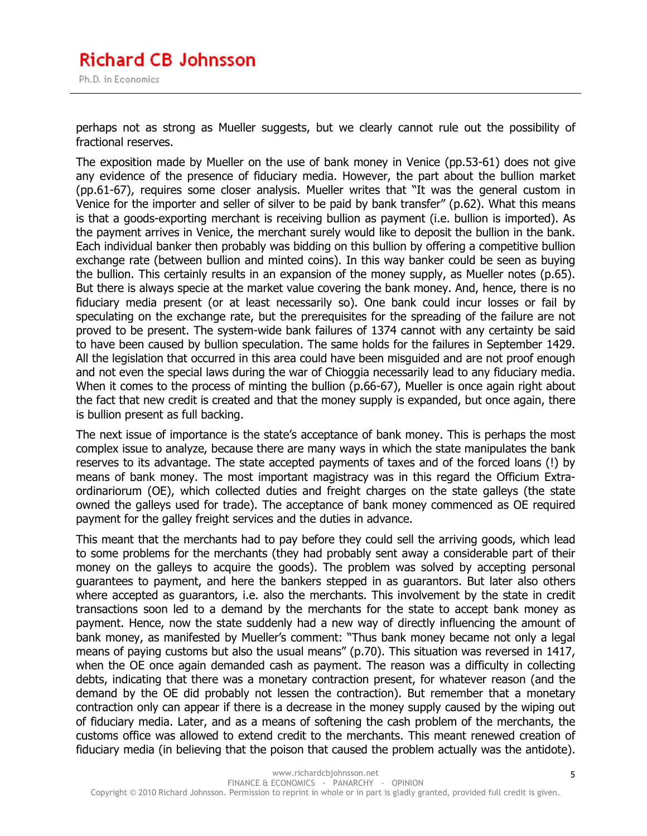perhaps not as strong as Mueller suggests, but we clearly cannot rule out the possibility of fractional reserves.

The exposition made by Mueller on the use of bank money in Venice (pp.53-61) does not give any evidence of the presence of fiduciary media. However, the part about the bullion market (pp.61-67), requires some closer analysis. Mueller writes that "It was the general custom in Venice for the importer and seller of silver to be paid by bank transfer" (p.62). What this means is that a goods-exporting merchant is receiving bullion as payment (i.e. bullion is imported). As the payment arrives in Venice, the merchant surely would like to deposit the bullion in the bank. Each individual banker then probably was bidding on this bullion by offering a competitive bullion exchange rate (between bullion and minted coins). In this way banker could be seen as buying the bullion. This certainly results in an expansion of the money supply, as Mueller notes (p.65). But there is always specie at the market value covering the bank money. And, hence, there is no fiduciary media present (or at least necessarily so). One bank could incur losses or fail by speculating on the exchange rate, but the prerequisites for the spreading of the failure are not proved to be present. The system-wide bank failures of 1374 cannot with any certainty be said to have been caused by bullion speculation. The same holds for the failures in September 1429. All the legislation that occurred in this area could have been misguided and are not proof enough and not even the special laws during the war of Chioggia necessarily lead to any fiduciary media. When it comes to the process of minting the bullion (p.66-67), Mueller is once again right about the fact that new credit is created and that the money supply is expanded, but once again, there is bullion present as full backing.

The next issue of importance is the state's acceptance of bank money. This is perhaps the most complex issue to analyze, because there are many ways in which the state manipulates the bank reserves to its advantage. The state accepted payments of taxes and of the forced loans (!) by means of bank money. The most important magistracy was in this regard the Officium Extraordinariorum (OE), which collected duties and freight charges on the state galleys (the state owned the galleys used for trade). The acceptance of bank money commenced as OE required payment for the galley freight services and the duties in advance.

This meant that the merchants had to pay before they could sell the arriving goods, which lead to some problems for the merchants (they had probably sent away a considerable part of their money on the galleys to acquire the goods). The problem was solved by accepting personal guarantees to payment, and here the bankers stepped in as guarantors. But later also others where accepted as guarantors, i.e. also the merchants. This involvement by the state in credit transactions soon led to a demand by the merchants for the state to accept bank money as payment. Hence, now the state suddenly had a new way of directly influencing the amount of bank money, as manifested by Mueller's comment: "Thus bank money became not only a legal means of paying customs but also the usual means" (p.70). This situation was reversed in 1417, when the OE once again demanded cash as payment. The reason was a difficulty in collecting debts, indicating that there was a monetary contraction present, for whatever reason (and the demand by the OE did probably not lessen the contraction). But remember that a monetary contraction only can appear if there is a decrease in the money supply caused by the wiping out of fiduciary media. Later, and as a means of softening the cash problem of the merchants, the customs office was allowed to extend credit to the merchants. This meant renewed creation of fiduciary media (in believing that the poison that caused the problem actually was the antidote).

5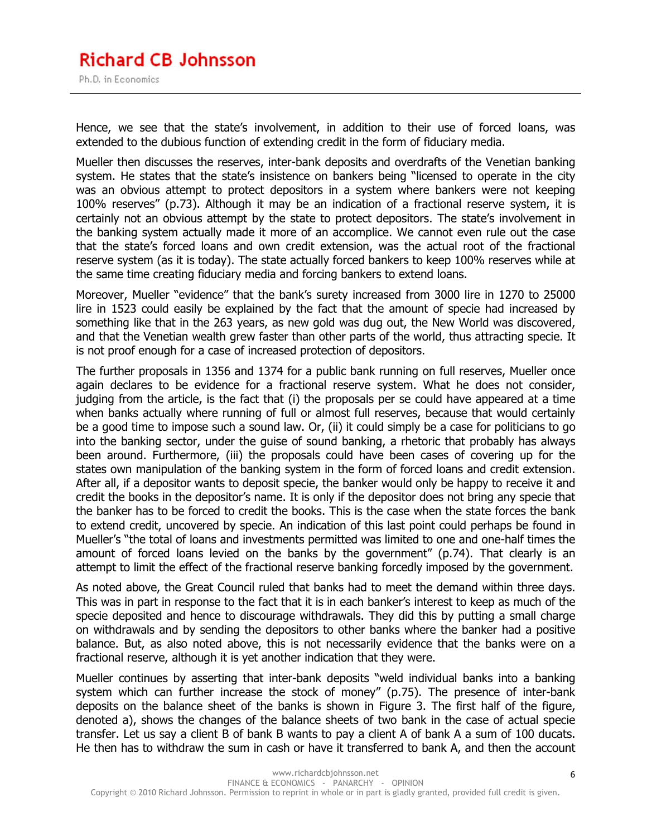## **Richard CB Johnsson**

Ph.D. in Economics

Hence, we see that the state's involvement, in addition to their use of forced loans, was extended to the dubious function of extending credit in the form of fiduciary media.

Mueller then discusses the reserves, inter-bank deposits and overdrafts of the Venetian banking system. He states that the state's insistence on bankers being "licensed to operate in the city was an obvious attempt to protect depositors in a system where bankers were not keeping 100% reserves" (p.73). Although it may be an indication of a fractional reserve system, it is certainly not an obvious attempt by the state to protect depositors. The state's involvement in the banking system actually made it more of an accomplice. We cannot even rule out the case that the state's forced loans and own credit extension, was the actual root of the fractional reserve system (as it is today). The state actually forced bankers to keep 100% reserves while at the same time creating fiduciary media and forcing bankers to extend loans.

Moreover, Mueller "evidence" that the bank's surety increased from 3000 lire in 1270 to 25000 lire in 1523 could easily be explained by the fact that the amount of specie had increased by something like that in the 263 years, as new gold was dug out, the New World was discovered, and that the Venetian wealth grew faster than other parts of the world, thus attracting specie. It is not proof enough for a case of increased protection of depositors.

The further proposals in 1356 and 1374 for a public bank running on full reserves, Mueller once again declares to be evidence for a fractional reserve system. What he does not consider, judging from the article, is the fact that (i) the proposals per se could have appeared at a time when banks actually where running of full or almost full reserves, because that would certainly be a good time to impose such a sound law. Or, (ii) it could simply be a case for politicians to go into the banking sector, under the guise of sound banking, a rhetoric that probably has always been around. Furthermore, (iii) the proposals could have been cases of covering up for the states own manipulation of the banking system in the form of forced loans and credit extension. After all, if a depositor wants to deposit specie, the banker would only be happy to receive it and credit the books in the depositor's name. It is only if the depositor does not bring any specie that the banker has to be forced to credit the books. This is the case when the state forces the bank to extend credit, uncovered by specie. An indication of this last point could perhaps be found in Mueller's "the total of loans and investments permitted was limited to one and one-half times the amount of forced loans levied on the banks by the government" (p.74). That clearly is an attempt to limit the effect of the fractional reserve banking forcedly imposed by the government.

As noted above, the Great Council ruled that banks had to meet the demand within three days. This was in part in response to the fact that it is in each banker's interest to keep as much of the specie deposited and hence to discourage withdrawals. They did this by putting a small charge on withdrawals and by sending the depositors to other banks where the banker had a positive balance. But, as also noted above, this is not necessarily evidence that the banks were on a fractional reserve, although it is yet another indication that they were.

Mueller continues by asserting that inter-bank deposits "weld individual banks into a banking system which can further increase the stock of money" (p.75). The presence of inter-bank deposits on the balance sheet of the banks is shown in Figure 3. The first half of the figure, denoted a), shows the changes of the balance sheets of two bank in the case of actual specie transfer. Let us say a client B of bank B wants to pay a client A of bank A a sum of 100 ducats. He then has to withdraw the sum in cash or have it transferred to bank A, and then the account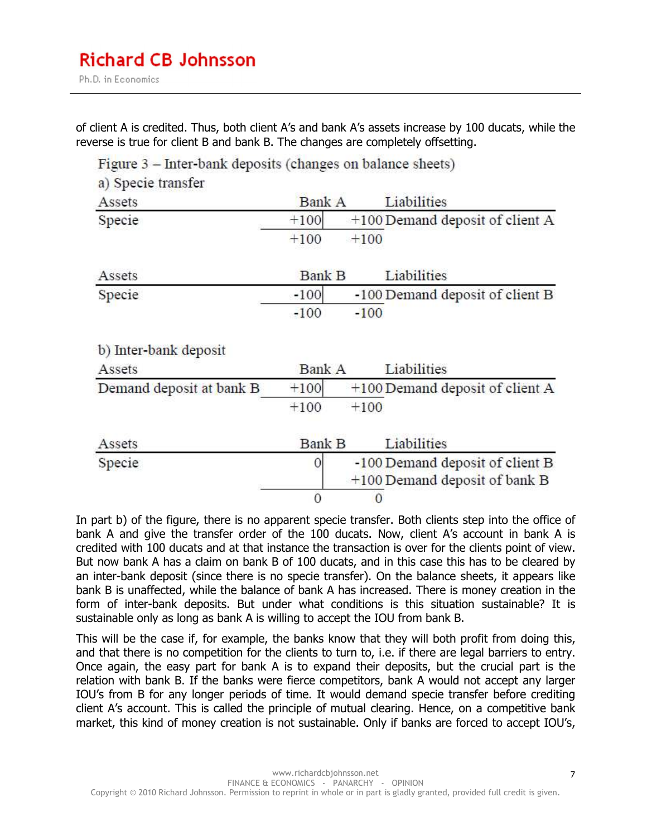of client A is credited. Thus, both client A's and bank A's assets increase by 100 ducats, while the reverse is true for client B and bank B. The changes are completely offsetting.

Figure 3 – Inter-bank deposits (changes on balance sheets)

| a) Specie transfer       |               |        |                                   |
|--------------------------|---------------|--------|-----------------------------------|
| Assets                   | <b>Bank A</b> |        | Liabilities                       |
| Specie                   | $+100$        |        | +100 Demand deposit of client A   |
|                          | $+100$        | $+100$ |                                   |
| Assets                   | <b>Bank B</b> |        | Liabilities                       |
| Specie                   | $-100$        |        | -100 Demand deposit of client B   |
|                          | $-100$        | $-100$ |                                   |
| b) Inter-bank deposit    |               |        |                                   |
| Assets                   | Bank A        |        | Liabilities                       |
| Demand deposit at bank B | $+100$        |        | $+100$ Demand deposit of client A |
|                          | $+100$        | $+100$ |                                   |
| Assets                   | <b>Bank B</b> |        | Liabilities                       |
| Specie                   | 0             |        | -100 Demand deposit of client B   |
|                          |               |        | +100 Demand deposit of bank B     |
|                          | 0             | 0      |                                   |

In part b) of the figure, there is no apparent specie transfer. Both clients step into the office of bank A and give the transfer order of the 100 ducats. Now, client A's account in bank A is credited with 100 ducats and at that instance the transaction is over for the clients point of view. But now bank A has a claim on bank B of 100 ducats, and in this case this has to be cleared by an inter-bank deposit (since there is no specie transfer). On the balance sheets, it appears like bank B is unaffected, while the balance of bank A has increased. There is money creation in the form of inter-bank deposits. But under what conditions is this situation sustainable? It is sustainable only as long as bank A is willing to accept the IOU from bank B.

This will be the case if, for example, the banks know that they will both profit from doing this, and that there is no competition for the clients to turn to, i.e. if there are legal barriers to entry. Once again, the easy part for bank A is to expand their deposits, but the crucial part is the relation with bank B. If the banks were fierce competitors, bank A would not accept any larger IOU's from B for any longer periods of time. It would demand specie transfer before crediting client A's account. This is called the principle of mutual clearing. Hence, on a competitive bank market, this kind of money creation is not sustainable. Only if banks are forced to accept IOU's,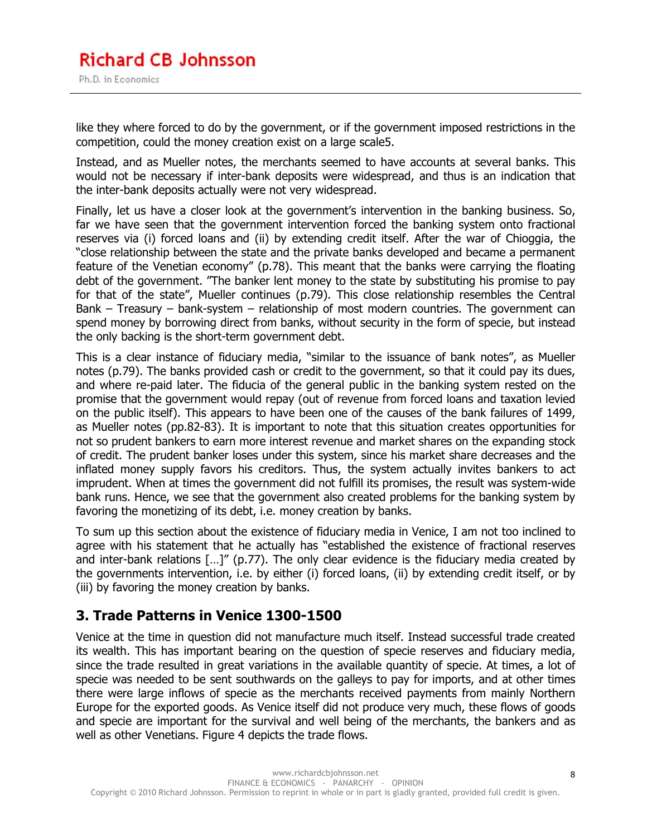like they where forced to do by the government, or if the government imposed restrictions in the competition, could the money creation exist on a large scale5.

Instead, and as Mueller notes, the merchants seemed to have accounts at several banks. This would not be necessary if inter-bank deposits were widespread, and thus is an indication that the inter-bank deposits actually were not very widespread.

Finally, let us have a closer look at the government's intervention in the banking business. So, far we have seen that the government intervention forced the banking system onto fractional reserves via (i) forced loans and (ii) by extending credit itself. After the war of Chioggia, the "close relationship between the state and the private banks developed and became a permanent feature of the Venetian economy" (p.78). This meant that the banks were carrying the floating debt of the government. "The banker lent money to the state by substituting his promise to pay for that of the state", Mueller continues (p.79). This close relationship resembles the Central Bank – Treasury – bank-system – relationship of most modern countries. The government can spend money by borrowing direct from banks, without security in the form of specie, but instead the only backing is the short-term government debt.

This is a clear instance of fiduciary media, "similar to the issuance of bank notes", as Mueller notes (p.79). The banks provided cash or credit to the government, so that it could pay its dues, and where re-paid later. The fiducia of the general public in the banking system rested on the promise that the government would repay (out of revenue from forced loans and taxation levied on the public itself). This appears to have been one of the causes of the bank failures of 1499, as Mueller notes (pp.82-83). It is important to note that this situation creates opportunities for not so prudent bankers to earn more interest revenue and market shares on the expanding stock of credit. The prudent banker loses under this system, since his market share decreases and the inflated money supply favors his creditors. Thus, the system actually invites bankers to act imprudent. When at times the government did not fulfill its promises, the result was system-wide bank runs. Hence, we see that the government also created problems for the banking system by favoring the monetizing of its debt, i.e. money creation by banks.

To sum up this section about the existence of fiduciary media in Venice, I am not too inclined to agree with his statement that he actually has "established the existence of fractional reserves and inter-bank relations  $\left[\ldots\right]''$  (p.77). The only clear evidence is the fiduciary media created by the governments intervention, i.e. by either (i) forced loans, (ii) by extending credit itself, or by (iii) by favoring the money creation by banks.

#### **3. Trade Patterns in Venice 1300-1500**

Venice at the time in question did not manufacture much itself. Instead successful trade created its wealth. This has important bearing on the question of specie reserves and fiduciary media, since the trade resulted in great variations in the available quantity of specie. At times, a lot of specie was needed to be sent southwards on the galleys to pay for imports, and at other times there were large inflows of specie as the merchants received payments from mainly Northern Europe for the exported goods. As Venice itself did not produce very much, these flows of goods and specie are important for the survival and well being of the merchants, the bankers and as well as other Venetians. Figure 4 depicts the trade flows.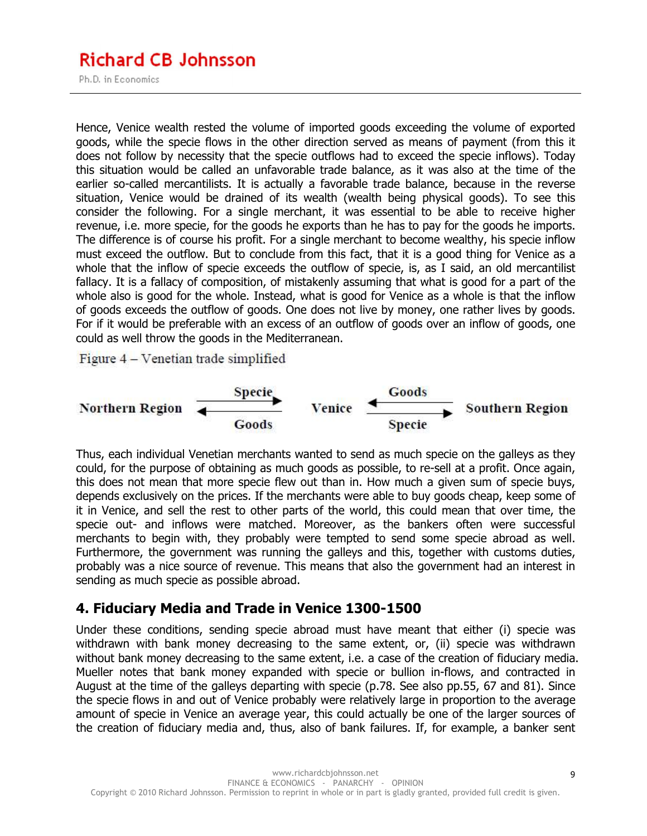### **Richard CB Johnsson**

Ph.D. in Economics

Hence, Venice wealth rested the volume of imported goods exceeding the volume of exported goods, while the specie flows in the other direction served as means of payment (from this it does not follow by necessity that the specie outflows had to exceed the specie inflows). Today this situation would be called an unfavorable trade balance, as it was also at the time of the earlier so-called mercantilists. It is actually a favorable trade balance, because in the reverse situation, Venice would be drained of its wealth (wealth being physical goods). To see this consider the following. For a single merchant, it was essential to be able to receive higher revenue, i.e. more specie, for the goods he exports than he has to pay for the goods he imports. The difference is of course his profit. For a single merchant to become wealthy, his specie inflow must exceed the outflow. But to conclude from this fact, that it is a good thing for Venice as a whole that the inflow of specie exceeds the outflow of specie, is, as I said, an old mercantilist fallacy. It is a fallacy of composition, of mistakenly assuming that what is good for a part of the whole also is good for the whole. Instead, what is good for Venice as a whole is that the inflow of goods exceeds the outflow of goods. One does not live by money, one rather lives by goods. For if it would be preferable with an excess of an outflow of goods over an inflow of goods, one could as well throw the goods in the Mediterranean.

Figure 4 – Venetian trade simplified



Thus, each individual Venetian merchants wanted to send as much specie on the galleys as they could, for the purpose of obtaining as much goods as possible, to re-sell at a profit. Once again, this does not mean that more specie flew out than in. How much a given sum of specie buys, depends exclusively on the prices. If the merchants were able to buy goods cheap, keep some of it in Venice, and sell the rest to other parts of the world, this could mean that over time, the specie out- and inflows were matched. Moreover, as the bankers often were successful merchants to begin with, they probably were tempted to send some specie abroad as well. Furthermore, the government was running the galleys and this, together with customs duties, probably was a nice source of revenue. This means that also the government had an interest in sending as much specie as possible abroad.

#### **4. Fiduciary Media and Trade in Venice 1300-1500**

Under these conditions, sending specie abroad must have meant that either (i) specie was withdrawn with bank money decreasing to the same extent, or, (ii) specie was withdrawn without bank money decreasing to the same extent, i.e. a case of the creation of fiduciary media. Mueller notes that bank money expanded with specie or bullion in-flows, and contracted in August at the time of the galleys departing with specie (p.78. See also pp.55, 67 and 81). Since the specie flows in and out of Venice probably were relatively large in proportion to the average amount of specie in Venice an average year, this could actually be one of the larger sources of the creation of fiduciary media and, thus, also of bank failures. If, for example, a banker sent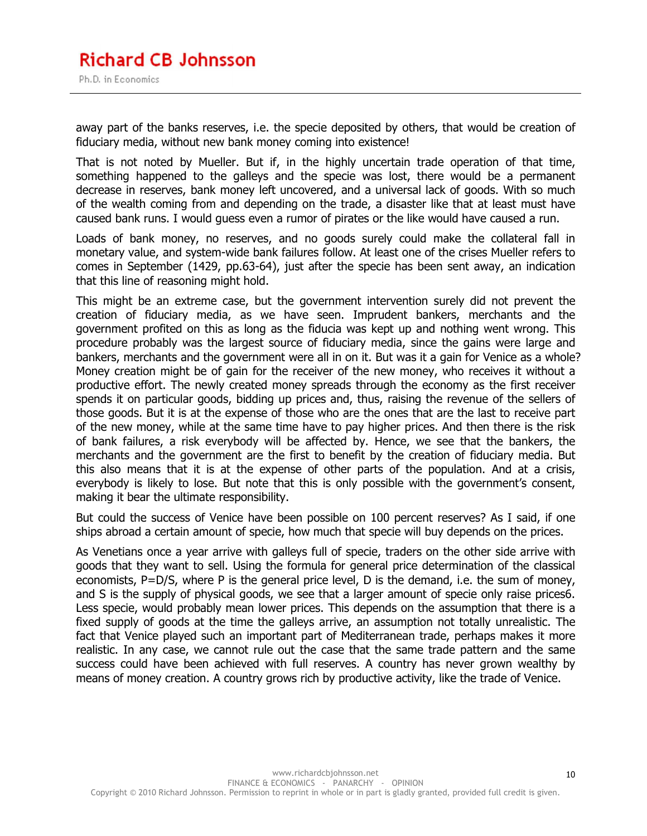#### **Richard CB Johnsson** Ph.D. in Economics

away part of the banks reserves, i.e. the specie deposited by others, that would be creation of fiduciary media, without new bank money coming into existence!

That is not noted by Mueller. But if, in the highly uncertain trade operation of that time, something happened to the galleys and the specie was lost, there would be a permanent decrease in reserves, bank money left uncovered, and a universal lack of goods. With so much of the wealth coming from and depending on the trade, a disaster like that at least must have caused bank runs. I would guess even a rumor of pirates or the like would have caused a run.

Loads of bank money, no reserves, and no goods surely could make the collateral fall in monetary value, and system-wide bank failures follow. At least one of the crises Mueller refers to comes in September (1429, pp.63-64), just after the specie has been sent away, an indication that this line of reasoning might hold.

This might be an extreme case, but the government intervention surely did not prevent the creation of fiduciary media, as we have seen. Imprudent bankers, merchants and the government profited on this as long as the fiducia was kept up and nothing went wrong. This procedure probably was the largest source of fiduciary media, since the gains were large and bankers, merchants and the government were all in on it. But was it a gain for Venice as a whole? Money creation might be of gain for the receiver of the new money, who receives it without a productive effort. The newly created money spreads through the economy as the first receiver spends it on particular goods, bidding up prices and, thus, raising the revenue of the sellers of those goods. But it is at the expense of those who are the ones that are the last to receive part of the new money, while at the same time have to pay higher prices. And then there is the risk of bank failures, a risk everybody will be affected by. Hence, we see that the bankers, the merchants and the government are the first to benefit by the creation of fiduciary media. But this also means that it is at the expense of other parts of the population. And at a crisis, everybody is likely to lose. But note that this is only possible with the government's consent, making it bear the ultimate responsibility.

But could the success of Venice have been possible on 100 percent reserves? As I said, if one ships abroad a certain amount of specie, how much that specie will buy depends on the prices.

As Venetians once a year arrive with galleys full of specie, traders on the other side arrive with goods that they want to sell. Using the formula for general price determination of the classical economists, P=D/S, where P is the general price level, D is the demand, i.e. the sum of money, and S is the supply of physical goods, we see that a larger amount of specie only raise prices6. Less specie, would probably mean lower prices. This depends on the assumption that there is a fixed supply of goods at the time the galleys arrive, an assumption not totally unrealistic. The fact that Venice played such an important part of Mediterranean trade, perhaps makes it more realistic. In any case, we cannot rule out the case that the same trade pattern and the same success could have been achieved with full reserves. A country has never grown wealthy by means of money creation. A country grows rich by productive activity, like the trade of Venice.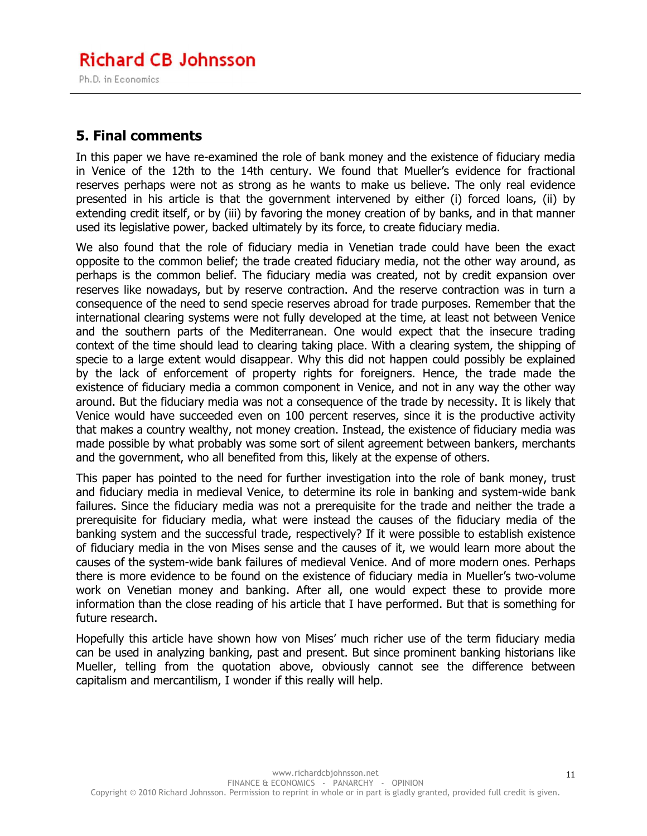#### **Richard CB Johnsson** Ph.D. in Economics

#### **5. Final comments**

In this paper we have re-examined the role of bank money and the existence of fiduciary media in Venice of the 12th to the 14th century. We found that Mueller's evidence for fractional reserves perhaps were not as strong as he wants to make us believe. The only real evidence presented in his article is that the government intervened by either (i) forced loans, (ii) by extending credit itself, or by (iii) by favoring the money creation of by banks, and in that manner used its legislative power, backed ultimately by its force, to create fiduciary media.

We also found that the role of fiduciary media in Venetian trade could have been the exact opposite to the common belief; the trade created fiduciary media, not the other way around, as perhaps is the common belief. The fiduciary media was created, not by credit expansion over reserves like nowadays, but by reserve contraction. And the reserve contraction was in turn a consequence of the need to send specie reserves abroad for trade purposes. Remember that the international clearing systems were not fully developed at the time, at least not between Venice and the southern parts of the Mediterranean. One would expect that the insecure trading context of the time should lead to clearing taking place. With a clearing system, the shipping of specie to a large extent would disappear. Why this did not happen could possibly be explained by the lack of enforcement of property rights for foreigners. Hence, the trade made the existence of fiduciary media a common component in Venice, and not in any way the other way around. But the fiduciary media was not a consequence of the trade by necessity. It is likely that Venice would have succeeded even on 100 percent reserves, since it is the productive activity that makes a country wealthy, not money creation. Instead, the existence of fiduciary media was made possible by what probably was some sort of silent agreement between bankers, merchants and the government, who all benefited from this, likely at the expense of others.

This paper has pointed to the need for further investigation into the role of bank money, trust and fiduciary media in medieval Venice, to determine its role in banking and system-wide bank failures. Since the fiduciary media was not a prerequisite for the trade and neither the trade a prerequisite for fiduciary media, what were instead the causes of the fiduciary media of the banking system and the successful trade, respectively? If it were possible to establish existence of fiduciary media in the von Mises sense and the causes of it, we would learn more about the causes of the system-wide bank failures of medieval Venice. And of more modern ones. Perhaps there is more evidence to be found on the existence of fiduciary media in Mueller's two-volume work on Venetian money and banking. After all, one would expect these to provide more information than the close reading of his article that I have performed. But that is something for future research.

Hopefully this article have shown how von Mises' much richer use of the term fiduciary media can be used in analyzing banking, past and present. But since prominent banking historians like Mueller, telling from the quotation above, obviously cannot see the difference between capitalism and mercantilism, I wonder if this really will help.